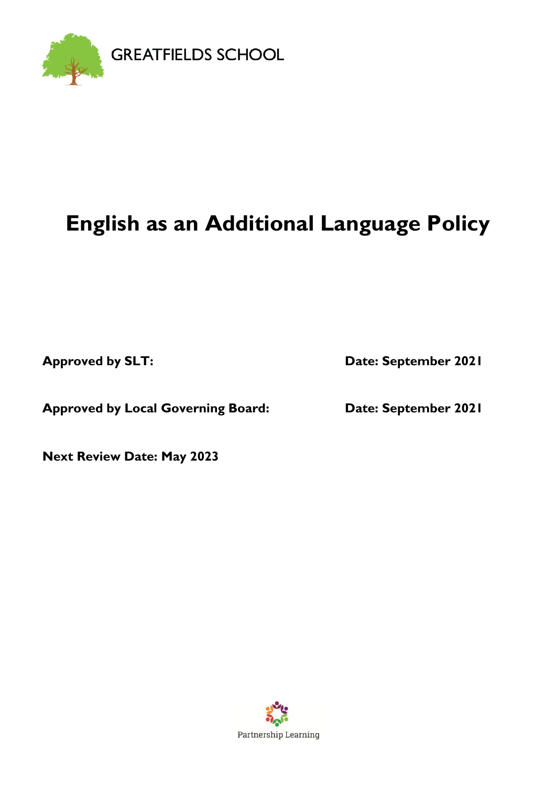

# **English as an Additional Language Policy**

**Approved by SLT: Date: September 2021**

**Approved by Local Governing Board: Date: September 2021**

**Next Review Date: May 2023**

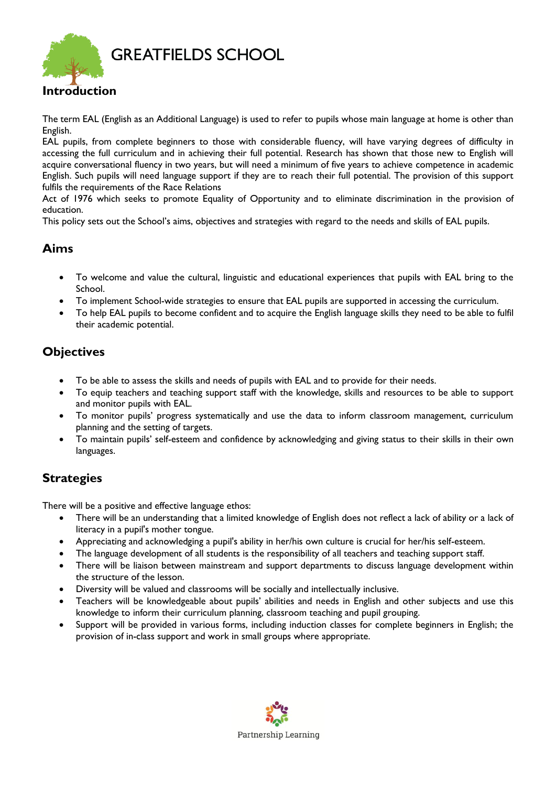

## **Introduction**

The term EAL (English as an Additional Language) is used to refer to pupils whose main language at home is other than English.

EAL pupils, from complete beginners to those with considerable fluency, will have varying degrees of difficulty in accessing the full curriculum and in achieving their full potential. Research has shown that those new to English will acquire conversational fluency in two years, but will need a minimum of five years to achieve competence in academic English. Such pupils will need language support if they are to reach their full potential. The provision of this support fulfils the requirements of the Race Relations

Act of 1976 which seeks to promote Equality of Opportunity and to eliminate discrimination in the provision of education.

This policy sets out the School's aims, objectives and strategies with regard to the needs and skills of EAL pupils.

### **Aims**

- To welcome and value the cultural, linguistic and educational experiences that pupils with EAL bring to the School.
- To implement School-wide strategies to ensure that EAL pupils are supported in accessing the curriculum.
- To help EAL pupils to become confident and to acquire the English language skills they need to be able to fulfil their academic potential.

### **Objectives**

- To be able to assess the skills and needs of pupils with EAL and to provide for their needs.
- To equip teachers and teaching support staff with the knowledge, skills and resources to be able to support and monitor pupils with EAL.
- To monitor pupils' progress systematically and use the data to inform classroom management, curriculum planning and the setting of targets.
- To maintain pupils' self-esteem and confidence by acknowledging and giving status to their skills in their own languages.

#### **Strategies**

There will be a positive and effective language ethos:

- There will be an understanding that a limited knowledge of English does not reflect a lack of ability or a lack of literacy in a pupil's mother tongue.
- Appreciating and acknowledging a pupil's ability in her/his own culture is crucial for her/his self-esteem.
- The language development of all students is the responsibility of all teachers and teaching support staff.
- There will be liaison between mainstream and support departments to discuss language development within the structure of the lesson.
- Diversity will be valued and classrooms will be socially and intellectually inclusive.
- Teachers will be knowledgeable about pupils' abilities and needs in English and other subjects and use this knowledge to inform their curriculum planning, classroom teaching and pupil grouping.
- Support will be provided in various forms, including induction classes for complete beginners in English; the provision of in-class support and work in small groups where appropriate.